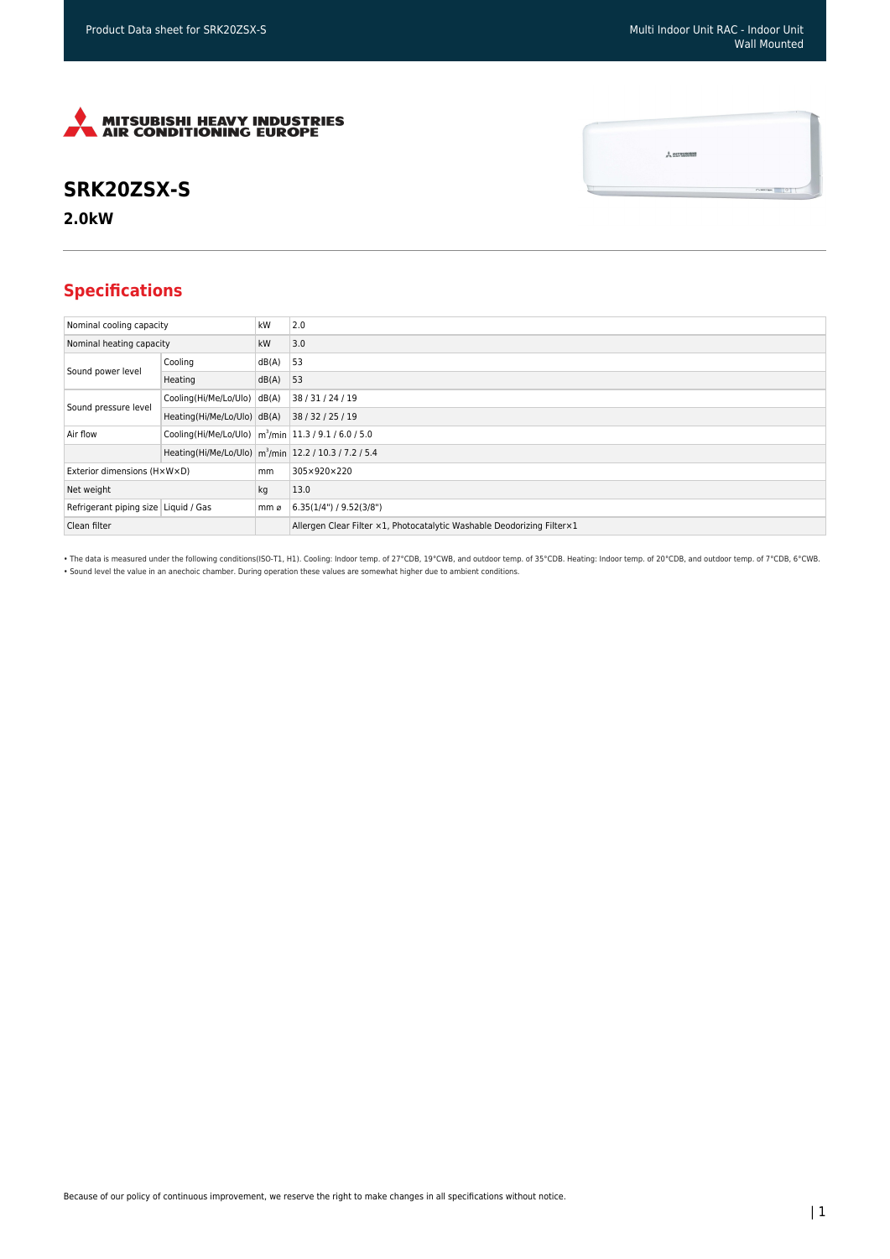$\frac{1}{\sqrt{2}}$  MITSUBISHI



## **SRK20ZSX-S**

**2.0kW**

## **Specifications**

| Nominal cooling capacity             |                                                                      | kW    | 2.0                                                                     |
|--------------------------------------|----------------------------------------------------------------------|-------|-------------------------------------------------------------------------|
| Nominal heating capacity             |                                                                      | kW    | 3.0                                                                     |
| Sound power level                    | Cooling                                                              | dB(A) | 53                                                                      |
|                                      | Heating                                                              | dB(A) | 53                                                                      |
| Sound pressure level                 | Cooling(Hi/Me/Lo/Ulo)                                                | dB(A) | 38/31/24/19                                                             |
|                                      | Heating(Hi/Me/Lo/Ulo) dB(A)                                          |       | 38/32/25/19                                                             |
| Air flow                             | Cooling(Hi/Me/Lo/Ulo)   m <sup>3</sup> /min   11.3 / 9.1 / 6.0 / 5.0 |       |                                                                         |
|                                      | Heating(Hi/Me/Lo/Ulo) m <sup>3</sup> /min 12.2 / 10.3 / 7.2 / 5.4    |       |                                                                         |
| Exterior dimensions (HxWxD)          |                                                                      | mm    | 305×920×220                                                             |
| Net weight                           |                                                                      | kg    | 13.0                                                                    |
| Refrigerant piping size Liquid / Gas |                                                                      | mm ø  | 6.35(1/4")/9.52(3/8")                                                   |
| Clean filter                         |                                                                      |       | Allergen Clear Filter x1, Photocatalytic Washable Deodorizing Filter x1 |

• The data is measured under the following conditions(ISO-T1, H1). Cooling: Indoor temp. of 27°CDB, 19°CWB, and outdoor temp. of 35°CDB. Heating: Indoor temp. of 20°CDB, and outdoor temp. of 7°CDB, 6°CWB. • Sound level the value in an anechoic chamber. During operation these values are somewhat higher due to ambient conditions.